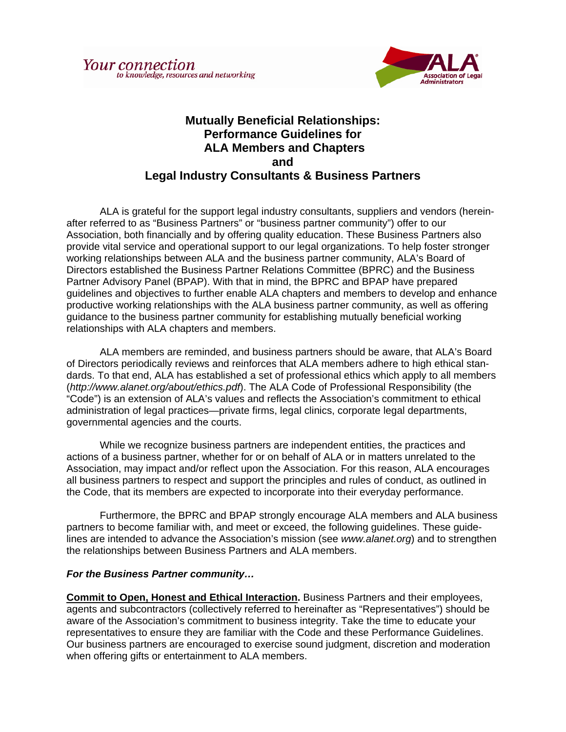

## **Mutually Beneficial Relationships: Performance Guidelines for ALA Members and Chapters and Legal Industry Consultants & Business Partners**

ALA is grateful for the support legal industry consultants, suppliers and vendors (hereinafter referred to as "Business Partners" or "business partner community") offer to our Association, both financially and by offering quality education. These Business Partners also provide vital service and operational support to our legal organizations. To help foster stronger working relationships between ALA and the business partner community, ALA's Board of Directors established the Business Partner Relations Committee (BPRC) and the Business Partner Advisory Panel (BPAP). With that in mind, the BPRC and BPAP have prepared guidelines and objectives to further enable ALA chapters and members to develop and enhance productive working relationships with the ALA business partner community, as well as offering guidance to the business partner community for establishing mutually beneficial working relationships with ALA chapters and members.

ALA members are reminded, and business partners should be aware, that ALA's Board of Directors periodically reviews and reinforces that ALA members adhere to high ethical standards. To that end, ALA has established a set of professional ethics which apply to all members (*http://www.alanet.org/about/ethics.pdf*). The ALA Code of Professional Responsibility (the "Code") is an extension of ALA's values and reflects the Association's commitment to ethical administration of legal practices—private firms, legal clinics, corporate legal departments, governmental agencies and the courts.

 While we recognize business partners are independent entities, the practices and actions of a business partner, whether for or on behalf of ALA or in matters unrelated to the Association, may impact and/or reflect upon the Association. For this reason, ALA encourages all business partners to respect and support the principles and rules of conduct, as outlined in the Code, that its members are expected to incorporate into their everyday performance.

 Furthermore, the BPRC and BPAP strongly encourage ALA members and ALA business partners to become familiar with, and meet or exceed, the following guidelines. These guidelines are intended to advance the Association's mission (see *www.alanet.org*) and to strengthen the relationships between Business Partners and ALA members.

## *For the Business Partner community…*

**Commit to Open, Honest and Ethical Interaction.** Business Partners and their employees, agents and subcontractors (collectively referred to hereinafter as "Representatives") should be aware of the Association's commitment to business integrity. Take the time to educate your representatives to ensure they are familiar with the Code and these Performance Guidelines. Our business partners are encouraged to exercise sound judgment, discretion and moderation when offering gifts or entertainment to ALA members.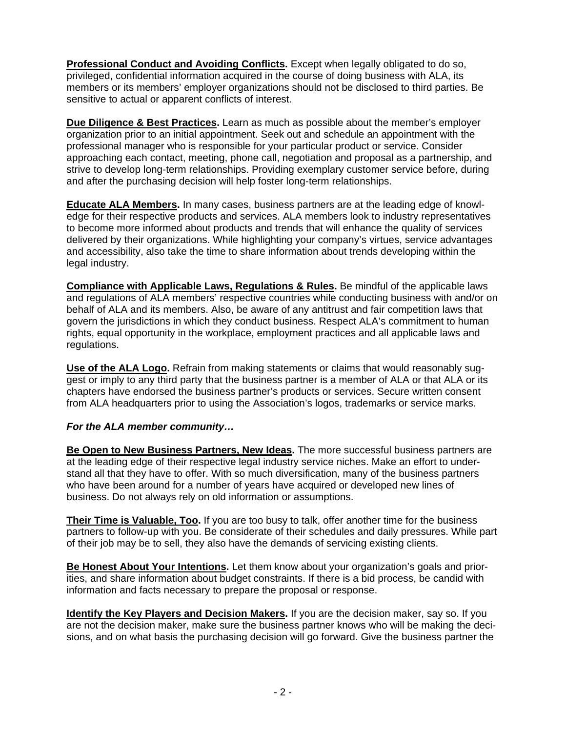**Professional Conduct and Avoiding Conflicts.** Except when legally obligated to do so, privileged, confidential information acquired in the course of doing business with ALA, its members or its members' employer organizations should not be disclosed to third parties. Be sensitive to actual or apparent conflicts of interest.

**Due Diligence & Best Practices.** Learn as much as possible about the member's employer organization prior to an initial appointment. Seek out and schedule an appointment with the professional manager who is responsible for your particular product or service. Consider approaching each contact, meeting, phone call, negotiation and proposal as a partnership, and strive to develop long-term relationships. Providing exemplary customer service before, during and after the purchasing decision will help foster long-term relationships.

**Educate ALA Members.** In many cases, business partners are at the leading edge of knowledge for their respective products and services. ALA members look to industry representatives to become more informed about products and trends that will enhance the quality of services delivered by their organizations. While highlighting your company's virtues, service advantages and accessibility, also take the time to share information about trends developing within the legal industry.

**Compliance with Applicable Laws, Regulations & Rules.** Be mindful of the applicable laws and regulations of ALA members' respective countries while conducting business with and/or on behalf of ALA and its members. Also, be aware of any antitrust and fair competition laws that govern the jurisdictions in which they conduct business. Respect ALA's commitment to human rights, equal opportunity in the workplace, employment practices and all applicable laws and regulations.

**Use of the ALA Logo.** Refrain from making statements or claims that would reasonably suggest or imply to any third party that the business partner is a member of ALA or that ALA or its chapters have endorsed the business partner's products or services. Secure written consent from ALA headquarters prior to using the Association's logos, trademarks or service marks.

## *For the ALA member community…*

**Be Open to New Business Partners, New Ideas.** The more successful business partners are at the leading edge of their respective legal industry service niches. Make an effort to understand all that they have to offer. With so much diversification, many of the business partners who have been around for a number of years have acquired or developed new lines of business. Do not always rely on old information or assumptions.

**Their Time is Valuable, Too.** If you are too busy to talk, offer another time for the business partners to follow-up with you. Be considerate of their schedules and daily pressures. While part of their job may be to sell, they also have the demands of servicing existing clients.

**Be Honest About Your Intentions.** Let them know about your organization's goals and priorities, and share information about budget constraints. If there is a bid process, be candid with information and facts necessary to prepare the proposal or response.

**Identify the Key Players and Decision Makers.** If you are the decision maker, say so. If you are not the decision maker, make sure the business partner knows who will be making the decisions, and on what basis the purchasing decision will go forward. Give the business partner the